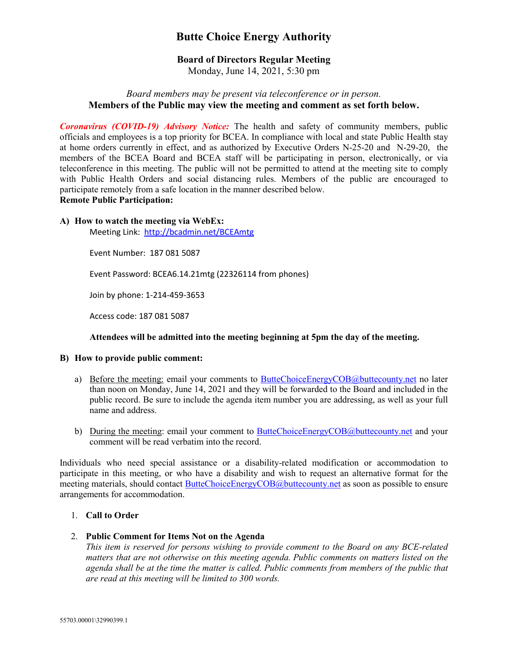# **Butte Choice Energy Authority**

# **Board of Directors Regular Meeting**

Monday, June 14, 2021, 5:30 pm

# *Board members may be present via teleconference or in person.* **Members of the Public may view the meeting and comment as set forth below.**

*Coronavirus (COVID-19) Advisory Notice:* The health and safety of community members, public officials and employees is a top priority for BCEA. In compliance with local and state Public Health stay at home orders currently in effect, and as authorized by Executive Orders N-25-20 and N-29-20, the members of the BCEA Board and BCEA staff will be participating in person, electronically, or via teleconference in this meeting. The public will not be permitted to attend at the meeting site to comply with Public Health Orders and social distancing rules. Members of the public are encouraged to participate remotely from a safe location in the manner described below.

# **Remote Public Participation:**

#### **A) How to watch the meeting via WebEx:**

Meeting Link: <http://bcadmin.net/BCEAmtg>

Event Number: 187 081 5087

Event Password: BCEA6.14.21mtg (22326114 from phones)

Join by phone: 1-214-459-3653

Access code: 187 081 5087

#### **Attendees will be admitted into the meeting beginning at 5pm the day of the meeting.**

#### **B) How to provide public comment:**

- a) Before the meeting: email your comments to [ButteChoiceEnergyCOB@buttecounty.net](mailto:ButteChoiceEnergyCOB@buttecounty.net) no later than noon on Monday, June 14, 2021 and they will be forwarded to the Board and included in the public record. Be sure to include the agenda item number you are addressing, as well as your full name and address.
- b) During the meeting: email your comment to [ButteChoiceEnergyCOB@buttecounty.net](mailto:ButteChoiceEnergyCOB@buttecounty.net) and your comment will be read verbatim into the record.

Individuals who need special assistance or a disability-related modification or accommodation to participate in this meeting, or who have a disability and wish to request an alternative format for the meeting materials, should contact [ButteChoiceEnergyCOB@buttecounty.net](mailto:ButteChoiceEnergyCOB@buttecounty.net) as soon as possible to ensure arrangements for accommodation.

## 1. **Call to Order**

## 2. **Public Comment for Items Not on the Agenda**

*This item is reserved for persons wishing to provide comment to the Board on any BCE-related matters that are not otherwise on this meeting agenda. Public comments on matters listed on the agenda shall be at the time the matter is called. Public comments from members of the public that are read at this meeting will be limited to 300 words.*